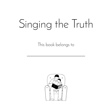## Singing the Truth

The story of Miriam Makeba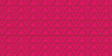## Singing the Truth

This book belongs to

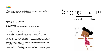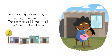

*Every child should own a hundred books by the age of five. To that end, Book Dash gathers creative professionals who volunteer to create new, African storybooks that anyone can freely translate and distribute. To find out more,* 

## *Every child should own a hundred books by the age of five.* To that end, Book Dash gathers creative professionals<br>and to download beautiful, print-ready books, visit [bookdash.org.](http://bookdash.org)<br>and to download beautiful, print-ready bo The story of Miriam Makeba



*Singing the Truth: the story of Miriam Makeba* Illustrated by Louwrisa Blaauw Written by Jade Mathieson Designed by Bianca de Jong with the help of the Book Dash participants in Cape Town on 30 August 2014.

ISBN: 978-0-9946519-0-7

This work is licensed under a Creative Commons Attribution 4.0 Licence (http://creativecommons.org/ licenses/by/4.0/). You are free to share (copy and redistribute the material in any medium or format) and adapt (remix, transform, and build upon the material) this work for any purpose, even commercially. The licensor cannot revoke these freedoms as long as you follow the following license terms:

Attribution: You must give appropriate credit, provide a link to the license, and indicate if changes were made. You may do so in any reasonable manner, but not in any way that suggests the licensor endorses you or your use.

No additional restrictions: You may not apply legal terms or technological measures that legally restrict others from doing anything the license permits.

Notices: You do not have to comply with the license for elements of the material in the public domain or where your use is permitted by an applicable exception or limitation.

No warranties are given. The license may not give you all of the permissions necessary for your intended use. For example, other rights such as publicity, privacy, or moral rights may limit how you use the material.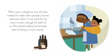A long time ago, in the vast city of Johannesburg, a baby girl was born. That baby was me. My mom called me Miriam. Miriam Makeba.



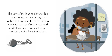Mom was a sangoma, but she also worked to make other people's homes neat and clean. It was hard for my mom to earn enough for both of us. She started selling homemade beer to bring in more money.



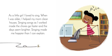The laws of the land said that selling homemade beer was wrong. The police sent my mom to jail for six long months. I was only 18 days old, and needed my mom. So even though I was just a baby, I went to jail too.



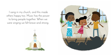As a little girl I loved to sing. When I was older, I helped my mom clean houses. Singing songs as I worked made the chores go faster and the days seem brighter. Singing made me happier than I can explain.



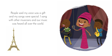sang in my church, and this made others happy too. Music has the power to bring people together. When we were singing we felt brave and strong.



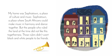People said my voice was a gift and my songs were special. I sang with other musicians and our music was heard all over the world.



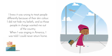My home was Sophiatown, a place of culture and music. Sophiatown, a place where South Africans could make music in harmony and dance together. But the people who ruled the land at the time did not like this togetherness. Those rulers didn't want black and white people to be friends.



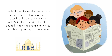I knew it was wrong to treat people differently because of their skin colour. I did not hide my beliefs, and so those people in charge wanted me out of the country. When I was singing in America, I was told I could never return home.



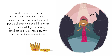People all over the world heard my story. My songs and my story helped many to see how there was no fairness in South Africa for those with black skin. I decided to go on singing and telling the truth about my country, no matter what.



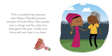The world loved my music and I was welcomed in many countries. I won awards and sang for important people all over the globe. My life was good, but something was missing. I could not sing in my home country, and people there were not free.



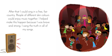Then a wonderful day dawned when Nelson Mandela became president of South Africa. New people were in charge and the unfair laws belonged to the past. I finally went home with new hope in my heart.



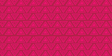After that I could sing in a free, fair country. People of different skin colours could enjoy music together. I helped make this happen because I was brave and strong. I sang the truth in all of my songs.



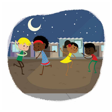